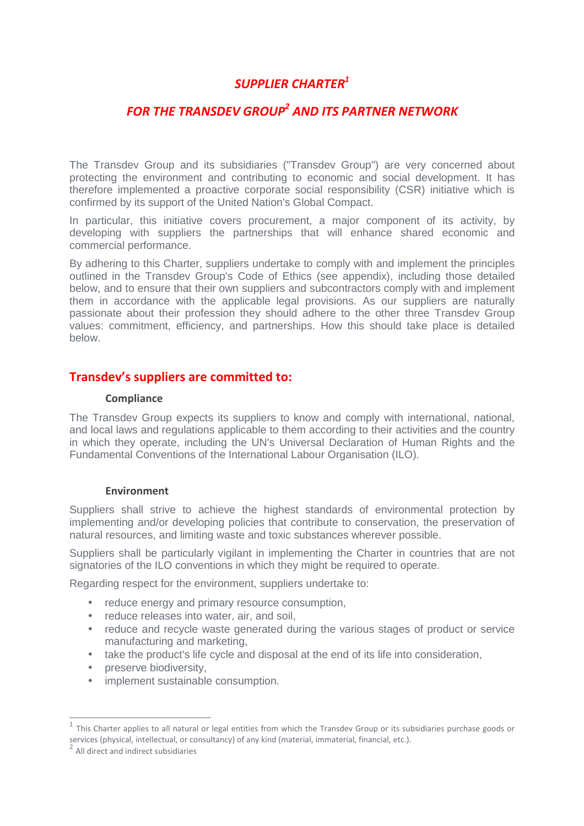# *SUPPLIER CHARTER<sup>1</sup>*

# *FOR THE TRANSDEV GROUP<sup>2</sup> AND ITS PARTNER NETWORK*

The Transdev Group and its subsidiaries ("Transdev Group") are very concerned about protecting the environment and contributing to economic and social development. It has therefore implemented a proactive corporate social responsibility (CSR) initiative which is confirmed by its support of the United Nation's Global Compact.

In particular, this initiative covers procurement, a major component of its activity, by developing with suppliers the partnerships that will enhance shared economic and commercial performance.

By adhering to this Charter, suppliers undertake to comply with and implement the principles outlined in the Transdev Group's Code of Ethics (see appendix), including those detailed below, and to ensure that their own suppliers and subcontractors comply with and implement them in accordance with the applicable legal provisions. As our suppliers are naturally passionate about their profession they should adhere to the other three Transdev Group values: commitment, efficiency, and partnerships. How this should take place is detailed below.

## **Transdev's suppliers are committed to:**

#### **Compliance**

The Transdev Group expects its suppliers to know and comply with international, national, and local laws and regulations applicable to them according to their activities and the country in which they operate, including the UN's Universal Declaration of Human Rights and the Fundamental Conventions of the International Labour Organisation (ILO).

#### **Environment**

Suppliers shall strive to achieve the highest standards of environmental protection by implementing and/or developing policies that contribute to conservation, the preservation of natural resources, and limiting waste and toxic substances wherever possible.

Suppliers shall be particularly vigilant in implementing the Charter in countries that are not signatories of the ILO conventions in which they might be required to operate.

Regarding respect for the environment, suppliers undertake to:

- reduce energy and primary resource consumption,
- reduce releases into water, air, and soil,
- reduce and recycle waste generated during the various stages of product or service manufacturing and marketing,
- take the product's life cycle and disposal at the end of its life into consideration,
- preserve biodiversity,
- implement sustainable consumption.

 $\overline{a}$ 

<sup>1</sup> This Charter applies to all natural or legal entities from which the Transdev Group or its subsidiaries purchase goods or services (physical, intellectual, or consultancy) of any kind (material, immaterial, financial, etc.).

<sup>2</sup> All direct and indirect subsidiaries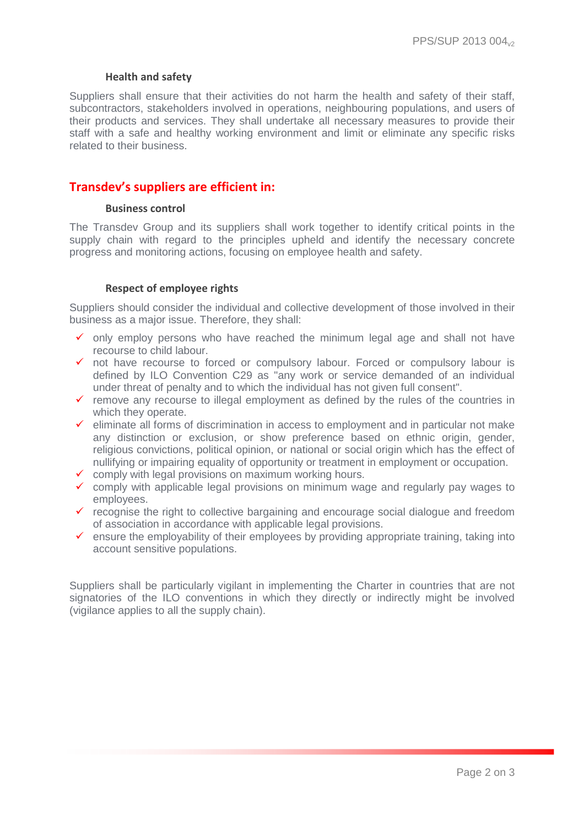#### **Health and safety**

Suppliers shall ensure that their activities do not harm the health and safety of their staff, subcontractors, stakeholders involved in operations, neighbouring populations, and users of their products and services. They shall undertake all necessary measures to provide their staff with a safe and healthy working environment and limit or eliminate any specific risks related to their business.

### **Transdev's suppliers are efficient in:**

#### **Business control**

The Transdev Group and its suppliers shall work together to identify critical points in the supply chain with regard to the principles upheld and identify the necessary concrete progress and monitoring actions, focusing on employee health and safety.

#### **Respect of employee rights**

Suppliers should consider the individual and collective development of those involved in their business as a major issue. Therefore, they shall:

- $\checkmark$  only employ persons who have reached the minimum legal age and shall not have recourse to child labour.
- $\checkmark$  not have recourse to forced or compulsory labour. Forced or compulsory labour is defined by ILO Convention C29 as "any work or service demanded of an individual under threat of penalty and to which the individual has not given full consent".
- $\checkmark$  remove any recourse to illegal employment as defined by the rules of the countries in which they operate.
- $\checkmark$  eliminate all forms of discrimination in access to employment and in particular not make any distinction or exclusion, or show preference based on ethnic origin, gender, religious convictions, political opinion, or national or social origin which has the effect of nullifying or impairing equality of opportunity or treatment in employment or occupation.
- $\checkmark$  comply with legal provisions on maximum working hours.
- $\checkmark$  comply with applicable legal provisions on minimum wage and regularly pay wages to employees.
- $\checkmark$  recognise the right to collective bargaining and encourage social dialogue and freedom of association in accordance with applicable legal provisions.
- $\checkmark$  ensure the employability of their employees by providing appropriate training, taking into account sensitive populations.

Suppliers shall be particularly vigilant in implementing the Charter in countries that are not signatories of the ILO conventions in which they directly or indirectly might be involved (vigilance applies to all the supply chain).